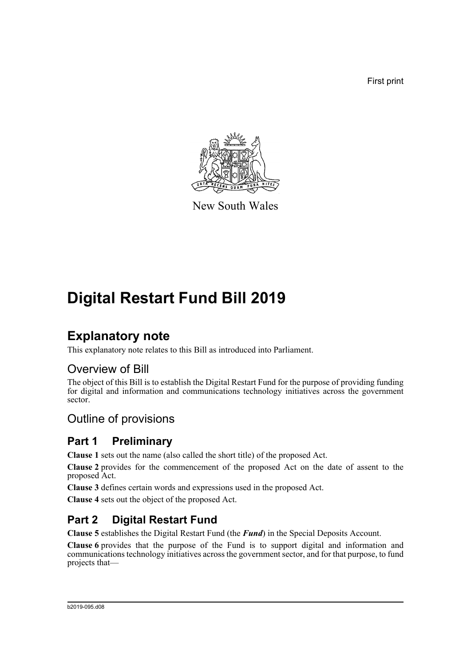First print



New South Wales

# **Digital Restart Fund Bill 2019**

## **Explanatory note**

This explanatory note relates to this Bill as introduced into Parliament.

### Overview of Bill

The object of this Bill is to establish the Digital Restart Fund for the purpose of providing funding for digital and information and communications technology initiatives across the government sector.

### Outline of provisions

### **Part 1 Preliminary**

**Clause 1** sets out the name (also called the short title) of the proposed Act.

**Clause 2** provides for the commencement of the proposed Act on the date of assent to the proposed Act.

**Clause 3** defines certain words and expressions used in the proposed Act.

**Clause 4** sets out the object of the proposed Act.

## **Part 2 Digital Restart Fund**

**Clause 5** establishes the Digital Restart Fund (the *Fund*) in the Special Deposits Account.

**Clause 6** provides that the purpose of the Fund is to support digital and information and communications technology initiatives across the government sector, and for that purpose, to fund projects that—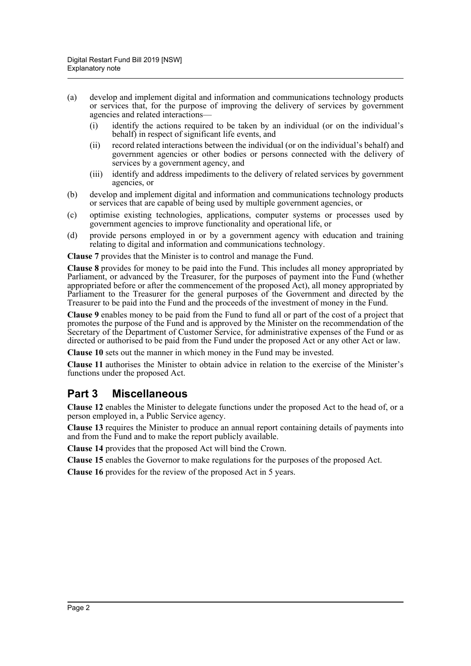- (a) develop and implement digital and information and communications technology products or services that, for the purpose of improving the delivery of services by government agencies and related interactions—
	- (i) identify the actions required to be taken by an individual (or on the individual's behalf) in respect of significant life events, and
	- (ii) record related interactions between the individual (or on the individual's behalf) and government agencies or other bodies or persons connected with the delivery of services by a government agency, and
	- (iii) identify and address impediments to the delivery of related services by government agencies, or
- (b) develop and implement digital and information and communications technology products or services that are capable of being used by multiple government agencies, or
- (c) optimise existing technologies, applications, computer systems or processes used by government agencies to improve functionality and operational life, or
- (d) provide persons employed in or by a government agency with education and training relating to digital and information and communications technology.

**Clause 7** provides that the Minister is to control and manage the Fund.

**Clause 8** provides for money to be paid into the Fund. This includes all money appropriated by Parliament, or advanced by the Treasurer, for the purposes of payment into the Fund (whether appropriated before or after the commencement of the proposed Act), all money appropriated by Parliament to the Treasurer for the general purposes of the Government and directed by the Treasurer to be paid into the Fund and the proceeds of the investment of money in the Fund.

**Clause 9** enables money to be paid from the Fund to fund all or part of the cost of a project that promotes the purpose of the Fund and is approved by the Minister on the recommendation of the Secretary of the Department of Customer Service, for administrative expenses of the Fund or as directed or authorised to be paid from the Fund under the proposed Act or any other Act or law.

**Clause 10** sets out the manner in which money in the Fund may be invested.

**Clause 11** authorises the Minister to obtain advice in relation to the exercise of the Minister's functions under the proposed Act.

#### **Part 3 Miscellaneous**

**Clause 12** enables the Minister to delegate functions under the proposed Act to the head of, or a person employed in, a Public Service agency.

**Clause 13** requires the Minister to produce an annual report containing details of payments into and from the Fund and to make the report publicly available.

**Clause 14** provides that the proposed Act will bind the Crown.

**Clause 15** enables the Governor to make regulations for the purposes of the proposed Act.

**Clause 16** provides for the review of the proposed Act in 5 years.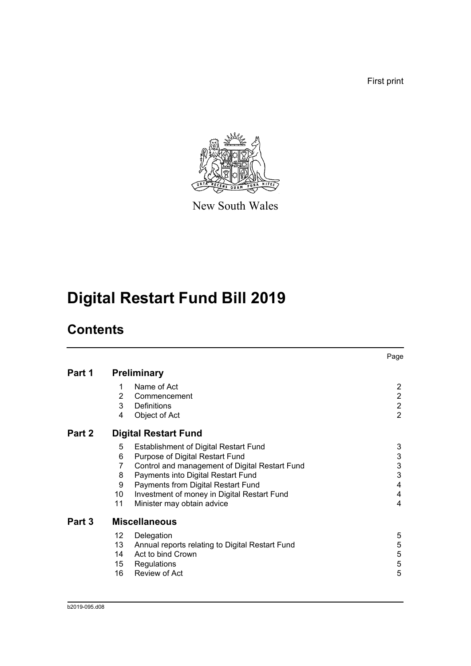First print



New South Wales

# **Digital Restart Fund Bill 2019**

## **Contents**

|        |                    |                                                 | Page                      |  |
|--------|--------------------|-------------------------------------------------|---------------------------|--|
| Part 1 | <b>Preliminary</b> |                                                 |                           |  |
|        | 1                  | Name of Act                                     | $\overline{2}$            |  |
|        | $\overline{2}$     | Commencement                                    | $\overline{2}$            |  |
|        | 3                  | Definitions                                     | $\overline{2}$            |  |
|        | 4                  | Object of Act                                   | $\overline{2}$            |  |
| Part 2 |                    | <b>Digital Restart Fund</b>                     |                           |  |
|        | 5                  | <b>Establishment of Digital Restart Fund</b>    | 3                         |  |
|        | 6                  | Purpose of Digital Restart Fund                 | 3                         |  |
|        | 7                  | Control and management of Digital Restart Fund  | $\ensuremath{\mathsf{3}}$ |  |
|        | 8                  | Payments into Digital Restart Fund              | 3                         |  |
|        | 9                  | Payments from Digital Restart Fund              | 4                         |  |
|        | 10                 | Investment of money in Digital Restart Fund     | 4                         |  |
|        | 11                 | Minister may obtain advice                      | 4                         |  |
| Part 3 |                    | <b>Miscellaneous</b>                            |                           |  |
|        | 12                 | Delegation                                      | 5                         |  |
|        | 13                 | Annual reports relating to Digital Restart Fund | $\mathbf 5$               |  |
|        | 14                 | Act to bind Crown                               | $\mathbf 5$               |  |
|        | 15                 | Regulations                                     | $\mathbf 5$               |  |
|        | 16                 | Review of Act                                   | 5                         |  |
|        |                    |                                                 |                           |  |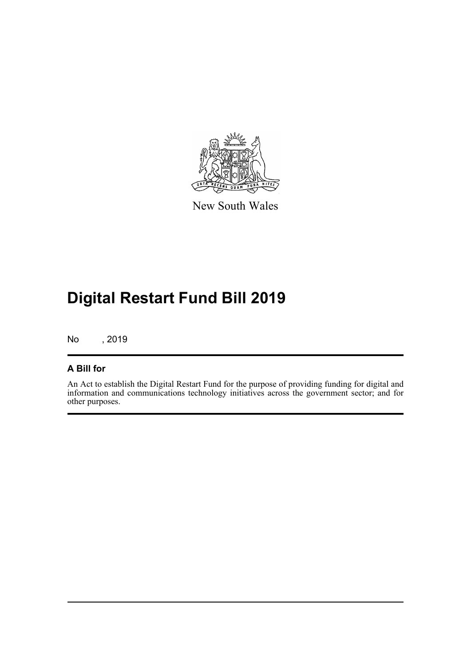

New South Wales

## **Digital Restart Fund Bill 2019**

No , 2019

#### **A Bill for**

An Act to establish the Digital Restart Fund for the purpose of providing funding for digital and information and communications technology initiatives across the government sector; and for other purposes.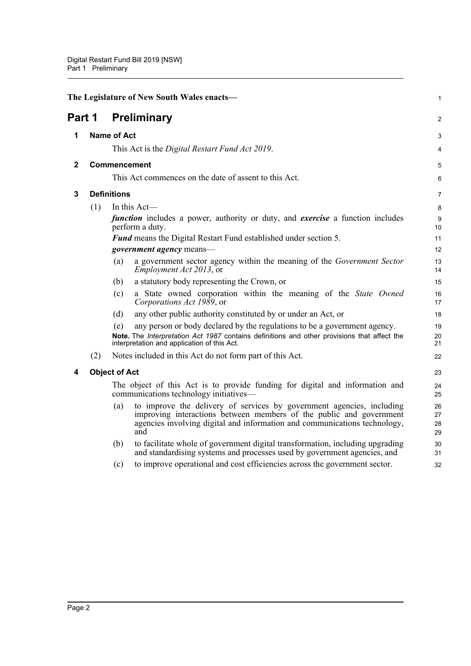<span id="page-4-4"></span><span id="page-4-3"></span><span id="page-4-2"></span><span id="page-4-1"></span><span id="page-4-0"></span>

| The Legislature of New South Wales enacts- |                      |     | 1                                                                                                                                                                                                                                |                      |
|--------------------------------------------|----------------------|-----|----------------------------------------------------------------------------------------------------------------------------------------------------------------------------------------------------------------------------------|----------------------|
| Part 1                                     |                      |     | <b>Preliminary</b>                                                                                                                                                                                                               | 2                    |
| 1                                          | <b>Name of Act</b>   |     |                                                                                                                                                                                                                                  | 3                    |
|                                            |                      |     | This Act is the Digital Restart Fund Act 2019.                                                                                                                                                                                   | 4                    |
| 2                                          |                      |     | <b>Commencement</b>                                                                                                                                                                                                              | 5                    |
|                                            |                      |     | This Act commences on the date of assent to this Act.                                                                                                                                                                            | 6                    |
| 3                                          | <b>Definitions</b>   |     |                                                                                                                                                                                                                                  | 7                    |
|                                            | (1)                  |     | In this $Act$ —                                                                                                                                                                                                                  | 8                    |
|                                            |                      |     | <i>function</i> includes a power, authority or duty, and <i>exercise</i> a function includes<br>perform a duty.                                                                                                                  | 9<br>10              |
|                                            |                      |     | Fund means the Digital Restart Fund established under section 5.                                                                                                                                                                 | 11                   |
|                                            |                      |     | <i>government agency</i> means-                                                                                                                                                                                                  | 12                   |
|                                            |                      | (a) | a government sector agency within the meaning of the Government Sector<br><i>Employment Act 2013</i> , or                                                                                                                        | 13<br>14             |
|                                            |                      | (b) | a statutory body representing the Crown, or                                                                                                                                                                                      | 15                   |
|                                            |                      | (c) | a State owned corporation within the meaning of the State Owned<br>Corporations Act 1989, or                                                                                                                                     | 16<br>17             |
|                                            |                      | (d) | any other public authority constituted by or under an Act, or                                                                                                                                                                    | 18                   |
|                                            |                      | (e) | any person or body declared by the regulations to be a government agency.<br>Note. The Interpretation Act 1987 contains definitions and other provisions that affect the<br>interpretation and application of this Act.          | 19<br>20<br>21       |
|                                            | (2)                  |     | Notes included in this Act do not form part of this Act.                                                                                                                                                                         | 22                   |
| 4                                          | <b>Object of Act</b> |     |                                                                                                                                                                                                                                  | 23                   |
|                                            |                      |     | The object of this Act is to provide funding for digital and information and<br>communications technology initiatives—                                                                                                           | 24<br>25             |
|                                            |                      | (a) | to improve the delivery of services by government agencies, including<br>improving interactions between members of the public and government<br>agencies involving digital and information and communications technology,<br>and | 26<br>27<br>28<br>29 |
|                                            |                      | (b) | to facilitate whole of government digital transformation, including upgrading<br>and standardising systems and processes used by government agencies, and                                                                        | 30<br>31             |
|                                            |                      | (c) | to improve operational and cost efficiencies across the government sector.                                                                                                                                                       | 32                   |
|                                            |                      |     |                                                                                                                                                                                                                                  |                      |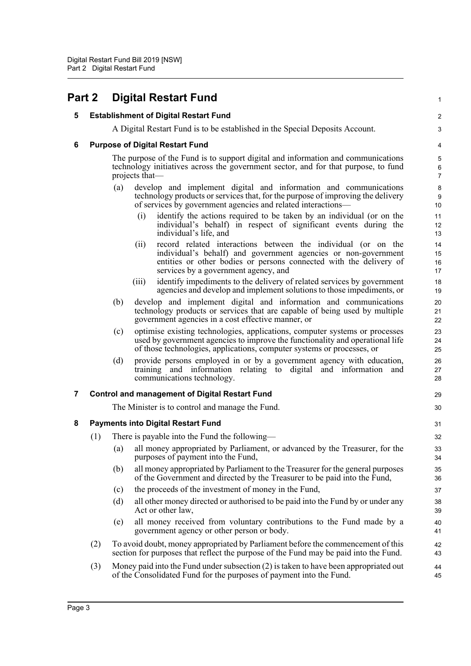<span id="page-5-4"></span><span id="page-5-3"></span><span id="page-5-2"></span><span id="page-5-1"></span><span id="page-5-0"></span>

| Part 2 |     | <b>Digital Restart Fund</b>                                                                                                                                                                                                                           | 1                                       |
|--------|-----|-------------------------------------------------------------------------------------------------------------------------------------------------------------------------------------------------------------------------------------------------------|-----------------------------------------|
| 5      |     | <b>Establishment of Digital Restart Fund</b>                                                                                                                                                                                                          | $\overline{c}$                          |
|        |     | A Digital Restart Fund is to be established in the Special Deposits Account.                                                                                                                                                                          | 3                                       |
| 6      |     | <b>Purpose of Digital Restart Fund</b>                                                                                                                                                                                                                | 4                                       |
|        |     | The purpose of the Fund is to support digital and information and communications<br>technology initiatives across the government sector, and for that purpose, to fund<br>projects that—                                                              | 5<br>$\boldsymbol{6}$<br>$\overline{7}$ |
|        |     | develop and implement digital and information and communications<br>(a)<br>technology products or services that, for the purpose of improving the delivery<br>of services by government agencies and related interactions—                            | 8<br>9<br>10                            |
|        |     | identify the actions required to be taken by an individual (or on the<br>(i)<br>individual's behalf) in respect of significant events during the<br>individual's life, and                                                                            | 11<br>12<br>13                          |
|        |     | record related interactions between the individual (or on the<br>(ii)<br>individual's behalf) and government agencies or non-government<br>entities or other bodies or persons connected with the delivery of<br>services by a government agency, and | 14<br>15<br>16<br>17                    |
|        |     | identify impediments to the delivery of related services by government<br>(iii)<br>agencies and develop and implement solutions to those impediments, or                                                                                              | 18<br>19                                |
|        |     | develop and implement digital and information and communications<br>(b)<br>technology products or services that are capable of being used by multiple<br>government agencies in a cost effective manner, or                                           | 20<br>21<br>22                          |
|        |     | optimise existing technologies, applications, computer systems or processes<br>(c)<br>used by government agencies to improve the functionality and operational life<br>of those technologies, applications, computer systems or processes, or         | 23<br>24<br>25                          |
|        |     | provide persons employed in or by a government agency with education,<br>(d)<br>training and information relating to digital and information and<br>communications technology.                                                                        | 26<br>27<br>28                          |
| 7      |     | <b>Control and management of Digital Restart Fund</b>                                                                                                                                                                                                 | 29                                      |
|        |     | The Minister is to control and manage the Fund.                                                                                                                                                                                                       | 30                                      |
| 8      |     | <b>Payments into Digital Restart Fund</b>                                                                                                                                                                                                             | 31                                      |
|        | (1) | There is payable into the Fund the following—                                                                                                                                                                                                         | 32                                      |
|        |     | all money appropriated by Parliament, or advanced by the Treasurer, for the<br>(a)<br>purposes of payment into the Fund,                                                                                                                              | 33<br>34                                |
|        |     | (b)<br>all money appropriated by Parliament to the Treasurer for the general purposes<br>of the Government and directed by the Treasurer to be paid into the Fund,                                                                                    | 35<br>36                                |
|        |     | the proceeds of the investment of money in the Fund,<br>(c)                                                                                                                                                                                           | 37                                      |
|        |     | all other money directed or authorised to be paid into the Fund by or under any<br>(d)<br>Act or other law,                                                                                                                                           | 38<br>39                                |
|        |     | all money received from voluntary contributions to the Fund made by a<br>(e)<br>government agency or other person or body.                                                                                                                            | 40<br>41                                |
|        | (2) | To avoid doubt, money appropriated by Parliament before the commencement of this<br>section for purposes that reflect the purpose of the Fund may be paid into the Fund.                                                                              | 42<br>43                                |
|        | (3) | Money paid into the Fund under subsection (2) is taken to have been appropriated out<br>of the Consolidated Fund for the purposes of payment into the Fund.                                                                                           | 44<br>45                                |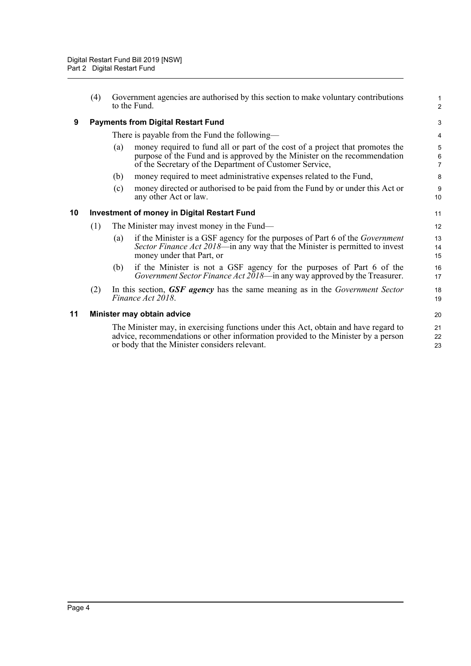<span id="page-6-2"></span><span id="page-6-1"></span><span id="page-6-0"></span>

|    | (4) | Government agencies are authorised by this section to make voluntary contributions<br>to the Fund.                                                                                                                           | $\mathbf{1}$<br>2        |
|----|-----|------------------------------------------------------------------------------------------------------------------------------------------------------------------------------------------------------------------------------|--------------------------|
| 9  |     | <b>Payments from Digital Restart Fund</b>                                                                                                                                                                                    | 3                        |
|    |     | There is payable from the Fund the following—                                                                                                                                                                                | 4                        |
|    |     | money required to fund all or part of the cost of a project that promotes the<br>(a)<br>purpose of the Fund and is approved by the Minister on the recommendation<br>of the Secretary of the Department of Customer Service, | 5<br>6<br>$\overline{7}$ |
|    |     | money required to meet administrative expenses related to the Fund,<br>(b)                                                                                                                                                   | 8                        |
|    |     | money directed or authorised to be paid from the Fund by or under this Act or<br>(c)<br>any other Act or law.                                                                                                                | 9<br>10                  |
| 10 |     | <b>Investment of money in Digital Restart Fund</b>                                                                                                                                                                           | 11                       |
|    | (1) | The Minister may invest money in the Fund—                                                                                                                                                                                   | 12                       |
|    |     | if the Minister is a GSF agency for the purposes of Part 6 of the <i>Government</i><br>(a)<br>Sector Finance Act 2018—in any way that the Minister is permitted to invest<br>money under that Part, or                       | 13<br>14<br>15           |
|    |     | if the Minister is not a GSF agency for the purposes of Part 6 of the<br>(b)<br>Government Sector Finance Act $2018$ —in any way approved by the Treasurer.                                                                  | 16<br>17                 |
|    | (2) | In this section, GSF agency has the same meaning as in the Government Sector<br>Finance Act 2018.                                                                                                                            | 18<br>19                 |
| 11 |     | Minister may obtain advice                                                                                                                                                                                                   | 20                       |
|    |     | The Minister may, in exercising functions under this Act, obtain and have regard to<br>advice, recommendations or other information provided to the Minister by a person<br>or body that the Minister considers relevant.    | 21<br>22<br>23           |
|    |     |                                                                                                                                                                                                                              |                          |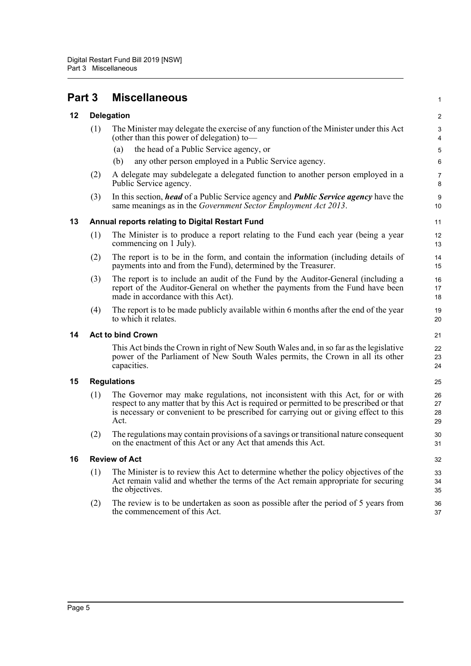<span id="page-7-5"></span><span id="page-7-4"></span><span id="page-7-3"></span><span id="page-7-2"></span><span id="page-7-1"></span><span id="page-7-0"></span>

| Part 3 |                                                 | <b>Miscellaneous</b>                                                                                                                                                                                                                                                        | 1                       |  |
|--------|-------------------------------------------------|-----------------------------------------------------------------------------------------------------------------------------------------------------------------------------------------------------------------------------------------------------------------------------|-------------------------|--|
| 12     | <b>Delegation</b>                               |                                                                                                                                                                                                                                                                             | $\overline{\mathbf{c}}$ |  |
|        | (1)                                             | The Minister may delegate the exercise of any function of the Minister under this Act<br>(other than this power of delegation) to-<br>the head of a Public Service agency, or<br>(a)<br>any other person employed in a Public Service agency.<br>(b)                        | 3<br>4<br>5<br>6        |  |
|        | (2)                                             | A delegate may subdelegate a delegated function to another person employed in a<br>Public Service agency.                                                                                                                                                                   | 7<br>8                  |  |
|        | (3)                                             | In this section, <i>head</i> of a Public Service agency and <i>Public Service agency</i> have the<br>same meanings as in the Government Sector Employment Act 2013.                                                                                                         | 9<br>10                 |  |
| 13     | Annual reports relating to Digital Restart Fund |                                                                                                                                                                                                                                                                             |                         |  |
|        | (1)                                             | The Minister is to produce a report relating to the Fund each year (being a year<br>commencing on 1 July).                                                                                                                                                                  | 12<br>13                |  |
|        | (2)                                             | The report is to be in the form, and contain the information (including details of<br>payments into and from the Fund), determined by the Treasurer.                                                                                                                        | 14<br>15                |  |
|        | (3)                                             | The report is to include an audit of the Fund by the Auditor-General (including a<br>report of the Auditor-General on whether the payments from the Fund have been<br>made in accordance with this Act).                                                                    | 16<br>17<br>18          |  |
|        | (4)                                             | The report is to be made publicly available within 6 months after the end of the year<br>to which it relates.                                                                                                                                                               | 19<br>20                |  |
| 14     | <b>Act to bind Crown</b>                        |                                                                                                                                                                                                                                                                             |                         |  |
|        |                                                 | This Act binds the Crown in right of New South Wales and, in so far as the legislative<br>power of the Parliament of New South Wales permits, the Crown in all its other<br>capacities.                                                                                     | 22<br>23<br>24          |  |
| 15     | <b>Regulations</b>                              |                                                                                                                                                                                                                                                                             |                         |  |
|        | (1)                                             | The Governor may make regulations, not inconsistent with this Act, for or with<br>respect to any matter that by this Act is required or permitted to be prescribed or that<br>is necessary or convenient to be prescribed for carrying out or giving effect to this<br>Act. | 26<br>27<br>28<br>29    |  |
|        | (2)                                             | The regulations may contain provisions of a savings or transitional nature consequent<br>on the enactment of this Act or any Act that amends this Act.                                                                                                                      | 30<br>31                |  |
| 16     | <b>Review of Act</b>                            |                                                                                                                                                                                                                                                                             |                         |  |
|        | (1)                                             | The Minister is to review this Act to determine whether the policy objectives of the<br>Act remain valid and whether the terms of the Act remain appropriate for securing<br>the objectives.                                                                                | 33<br>34<br>35          |  |
|        | (2)                                             | The review is to be undertaken as soon as possible after the period of 5 years from<br>the commencement of this Act.                                                                                                                                                        | 36<br>37                |  |